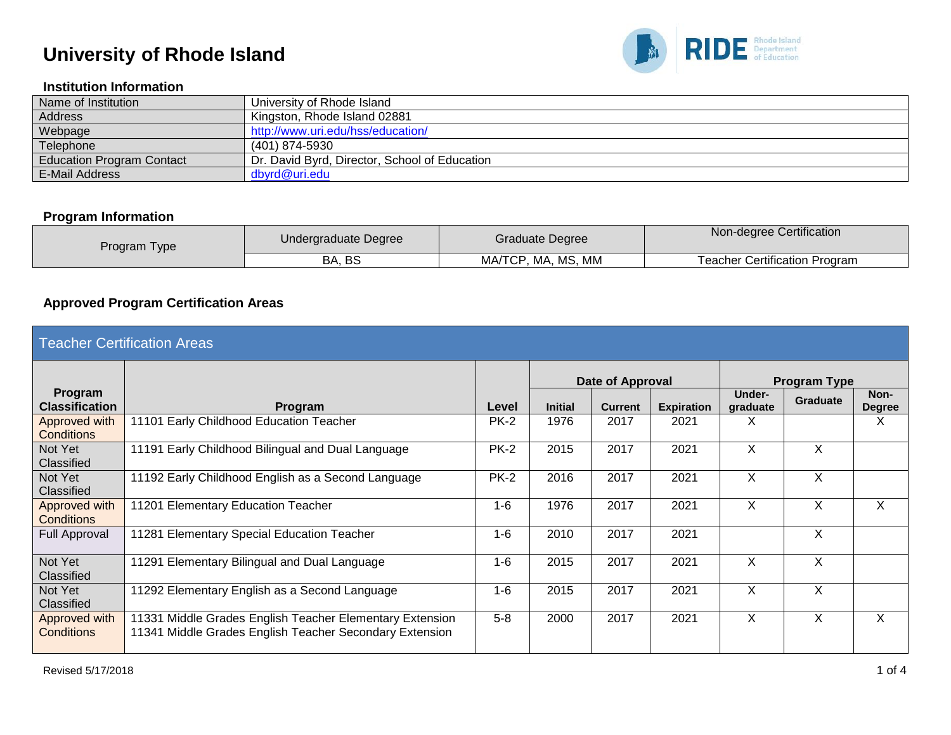

### **Institution Information**

| Name of Institution              | University of Rhode Island                    |
|----------------------------------|-----------------------------------------------|
| Address                          | Kingston, Rhode Island 02881                  |
| Webpage                          | http://www.uri.edu/hss/education/             |
| Telephone                        | (401) 874-5930                                |
| <b>Education Program Contact</b> | Dr. David Byrd, Director, School of Education |
| <b>E-Mail Address</b>            | dbyrd@uri.edu                                 |

#### **Program Information**

| Program Type | Undergraduate Degree | Graduate Degree    | Non-degree Certification             |
|--------------|----------------------|--------------------|--------------------------------------|
|              | BA, BS               | MA/TCP, MA, MS, MM | <b>Teacher Certification Program</b> |

### **Approved Program Certification Areas**

| <b>Teacher Certification Areas</b> |                                                                                                                     |             |                  |                |                   |                     |                 |                       |  |
|------------------------------------|---------------------------------------------------------------------------------------------------------------------|-------------|------------------|----------------|-------------------|---------------------|-----------------|-----------------------|--|
|                                    |                                                                                                                     |             | Date of Approval |                |                   | <b>Program Type</b> |                 |                       |  |
| Program<br><b>Classification</b>   | Program                                                                                                             | Level       | <b>Initial</b>   | <b>Current</b> | <b>Expiration</b> | Under-<br>graduate  | <b>Graduate</b> | Non-<br><b>Degree</b> |  |
| Approved with<br><b>Conditions</b> | 11101 Early Childhood Education Teacher                                                                             | <b>PK-2</b> | 1976             | 2017           | 2021              | Χ                   |                 | X                     |  |
| Not Yet<br>Classified              | 11191 Early Childhood Bilingual and Dual Language                                                                   | <b>PK-2</b> | 2015             | 2017           | 2021              | X                   | X               |                       |  |
| Not Yet<br>Classified              | 11192 Early Childhood English as a Second Language                                                                  | <b>PK-2</b> | 2016             | 2017           | 2021              | X                   | X               |                       |  |
| Approved with<br>Conditions        | 11201 Elementary Education Teacher                                                                                  | $1 - 6$     | 1976             | 2017           | 2021              | X                   | X               | X                     |  |
| Full Approval                      | 11281 Elementary Special Education Teacher                                                                          | $1-6$       | 2010             | 2017           | 2021              |                     | X               |                       |  |
| Not Yet<br>Classified              | 11291 Elementary Bilingual and Dual Language                                                                        | $1-6$       | 2015             | 2017           | 2021              | X                   | X               |                       |  |
| Not Yet<br>Classified              | 11292 Elementary English as a Second Language                                                                       | $1-6$       | 2015             | 2017           | 2021              | X                   | X               |                       |  |
| Approved with<br>Conditions        | 11331 Middle Grades English Teacher Elementary Extension<br>11341 Middle Grades English Teacher Secondary Extension | $5 - 8$     | 2000             | 2017           | 2021              | X                   | X               | X                     |  |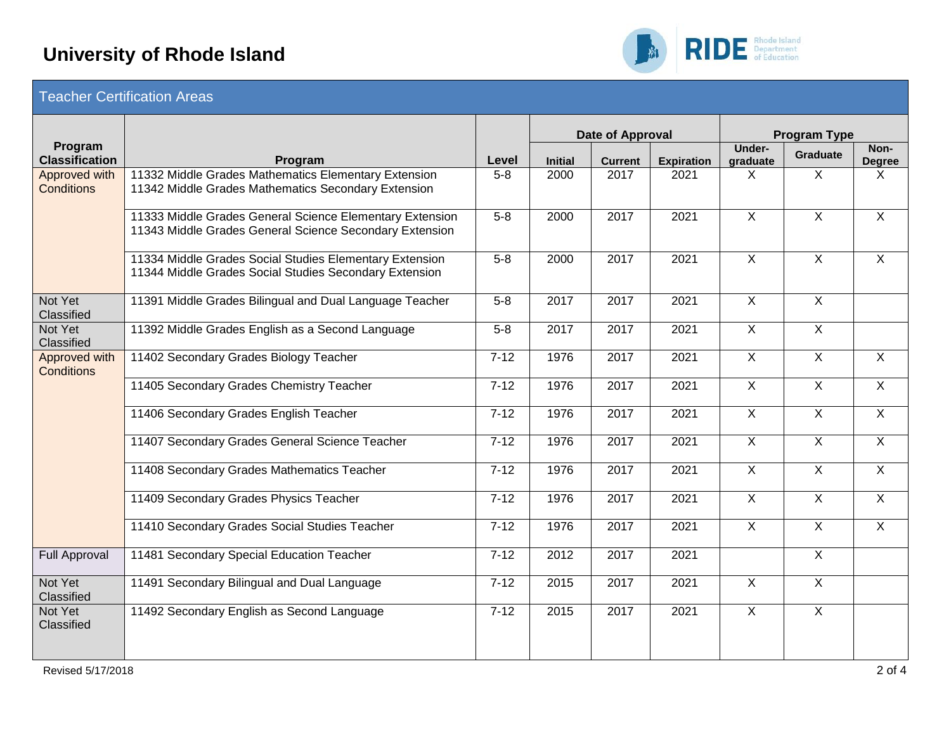

| Teacher Certification Areas |  |
|-----------------------------|--|
|                             |  |

|                                    |                                                                                                                     |          | Date of Approval |                |                   | <b>Program Type</b>       |                |                       |  |
|------------------------------------|---------------------------------------------------------------------------------------------------------------------|----------|------------------|----------------|-------------------|---------------------------|----------------|-----------------------|--|
| Program<br><b>Classification</b>   | Program                                                                                                             | Level    | <b>Initial</b>   | <b>Current</b> | <b>Expiration</b> | <b>Under-</b><br>graduate | Graduate       | Non-<br><b>Degree</b> |  |
| Approved with<br><b>Conditions</b> | 11332 Middle Grades Mathematics Elementary Extension<br>11342 Middle Grades Mathematics Secondary Extension         | $5-8$    | 2000             | 2017           | 2021              | X                         | $\mathsf{X}$   | X                     |  |
|                                    | 11333 Middle Grades General Science Elementary Extension<br>11343 Middle Grades General Science Secondary Extension | $5-8$    | 2000             | 2017           | 2021              | $\overline{X}$            | $\overline{X}$ | $\overline{X}$        |  |
|                                    | 11334 Middle Grades Social Studies Elementary Extension<br>11344 Middle Grades Social Studies Secondary Extension   | $5-8$    | 2000             | 2017           | 2021              | $\overline{X}$            | $\overline{X}$ | $\overline{X}$        |  |
| Not Yet<br>Classified              | 11391 Middle Grades Bilingual and Dual Language Teacher                                                             | $5-8$    | 2017             | 2017           | 2021              | $\overline{X}$            | $\overline{X}$ |                       |  |
| Not Yet<br>Classified              | 11392 Middle Grades English as a Second Language                                                                    | $5-8$    | 2017             | 2017           | 2021              | $\sf X$                   | $\mathsf{X}$   |                       |  |
| Approved with<br><b>Conditions</b> | 11402 Secondary Grades Biology Teacher                                                                              | $7 - 12$ | 1976             | 2017           | 2021              | $\overline{X}$            | $\overline{X}$ | $\overline{X}$        |  |
|                                    | 11405 Secondary Grades Chemistry Teacher                                                                            | $7 - 12$ | 1976             | 2017           | 2021              | $\overline{X}$            | $\overline{X}$ | $\overline{X}$        |  |
|                                    | 11406 Secondary Grades English Teacher                                                                              | $7-12$   | 1976             | 2017           | 2021              | $\overline{X}$            | $\overline{X}$ | $\overline{X}$        |  |
|                                    | 11407 Secondary Grades General Science Teacher                                                                      | $7 - 12$ | 1976             | 2017           | 2021              | $\overline{X}$            | $\overline{X}$ | $\overline{X}$        |  |
|                                    | 11408 Secondary Grades Mathematics Teacher                                                                          | $7 - 12$ | 1976             | 2017           | 2021              | $\overline{X}$            | $\overline{X}$ | $\overline{X}$        |  |
|                                    | 11409 Secondary Grades Physics Teacher                                                                              | $7 - 12$ | 1976             | 2017           | 2021              | $\sf X$                   | $\mathsf{X}$   | $\mathsf{X}$          |  |
|                                    | 11410 Secondary Grades Social Studies Teacher                                                                       | $7 - 12$ | 1976             | 2017           | 2021              | $\overline{X}$            | $\overline{X}$ | $\overline{X}$        |  |
| <b>Full Approval</b>               | 11481 Secondary Special Education Teacher                                                                           | $7 - 12$ | 2012             | 2017           | 2021              |                           | $\overline{X}$ |                       |  |
| Not Yet<br>Classified              | 11491 Secondary Bilingual and Dual Language                                                                         | $7 - 12$ | 2015             | 2017           | 2021              | $\overline{X}$            | $\overline{X}$ |                       |  |
| Not Yet<br>Classified              | 11492 Secondary English as Second Language                                                                          | $7-12$   | 2015             | 2017           | 2021              | $\overline{X}$            | $\overline{X}$ |                       |  |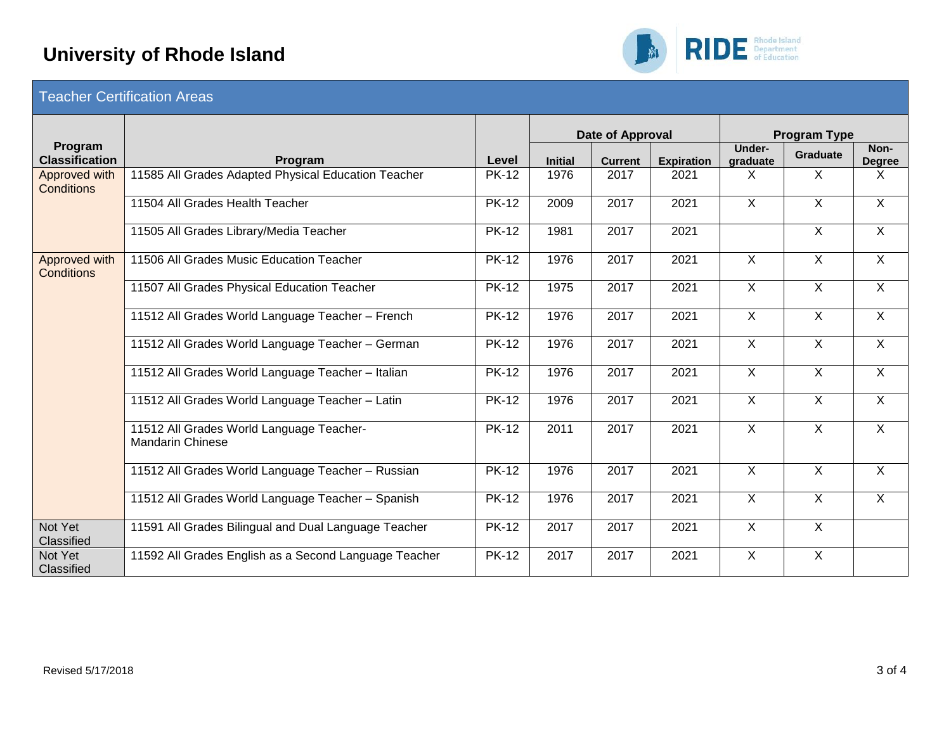

| <b>Teacher Certification Areas</b> |  |
|------------------------------------|--|
|                                    |  |

|                                    |                                                                     |              |                | Date of Approval |                   | <b>Program Type</b> |                         |                       |
|------------------------------------|---------------------------------------------------------------------|--------------|----------------|------------------|-------------------|---------------------|-------------------------|-----------------------|
| Program<br><b>Classification</b>   | Program                                                             | Level        | <b>Initial</b> | <b>Current</b>   | <b>Expiration</b> | Under-<br>graduate  | <b>Graduate</b>         | Non-<br><b>Degree</b> |
| Approved with<br><b>Conditions</b> | 11585 All Grades Adapted Physical Education Teacher                 | <b>PK-12</b> | 1976           | 2017             | 2021              | X                   | X                       | X                     |
|                                    | 11504 All Grades Health Teacher                                     | <b>PK-12</b> | 2009           | 2017             | 2021              | X                   | $\overline{X}$          | $\overline{X}$        |
|                                    | 11505 All Grades Library/Media Teacher                              | <b>PK-12</b> | 1981           | 2017             | 2021              |                     | $\overline{\mathsf{x}}$ | $\overline{X}$        |
| Approved with<br><b>Conditions</b> | 11506 All Grades Music Education Teacher                            | <b>PK-12</b> | 1976           | 2017             | 2021              | $\sf X$             | $\mathsf{X}$            | $\mathsf{X}$          |
|                                    | 11507 All Grades Physical Education Teacher                         | $PK-12$      | 1975           | 2017             | 2021              | $\overline{X}$      | $\overline{X}$          | $\overline{X}$        |
|                                    | 11512 All Grades World Language Teacher - French                    | <b>PK-12</b> | 1976           | 2017             | 2021              | $\overline{X}$      | $\overline{X}$          | $\mathsf{X}$          |
|                                    | 11512 All Grades World Language Teacher - German                    | <b>PK-12</b> | 1976           | 2017             | 2021              | $\overline{X}$      | $\overline{X}$          | $\overline{X}$        |
|                                    | 11512 All Grades World Language Teacher - Italian                   | <b>PK-12</b> | 1976           | 2017             | 2021              | $\sf X$             | $\sf X$                 | $\sf X$               |
|                                    | 11512 All Grades World Language Teacher - Latin                     | <b>PK-12</b> | 1976           | 2017             | 2021              | $\overline{X}$      | $\overline{X}$          | $\overline{X}$        |
|                                    | 11512 All Grades World Language Teacher-<br><b>Mandarin Chinese</b> | <b>PK-12</b> | 2011           | 2017             | 2021              | $\overline{X}$      | $\overline{X}$          | X                     |
|                                    | 11512 All Grades World Language Teacher - Russian                   | <b>PK-12</b> | 1976           | 2017             | 2021              | $\overline{X}$      | $\overline{X}$          | $\mathsf{X}$          |
|                                    | 11512 All Grades World Language Teacher - Spanish                   | <b>PK-12</b> | 1976           | 2017             | 2021              | $\overline{X}$      | $\overline{X}$          | $\overline{X}$        |
| Not Yet<br>Classified              | 11591 All Grades Bilingual and Dual Language Teacher                | <b>PK-12</b> | 2017           | 2017             | 2021              | $\sf X$             | $\overline{X}$          |                       |
| Not Yet<br>Classified              | 11592 All Grades English as a Second Language Teacher               | <b>PK-12</b> | 2017           | 2017             | 2021              | $\overline{X}$      | $\overline{X}$          |                       |